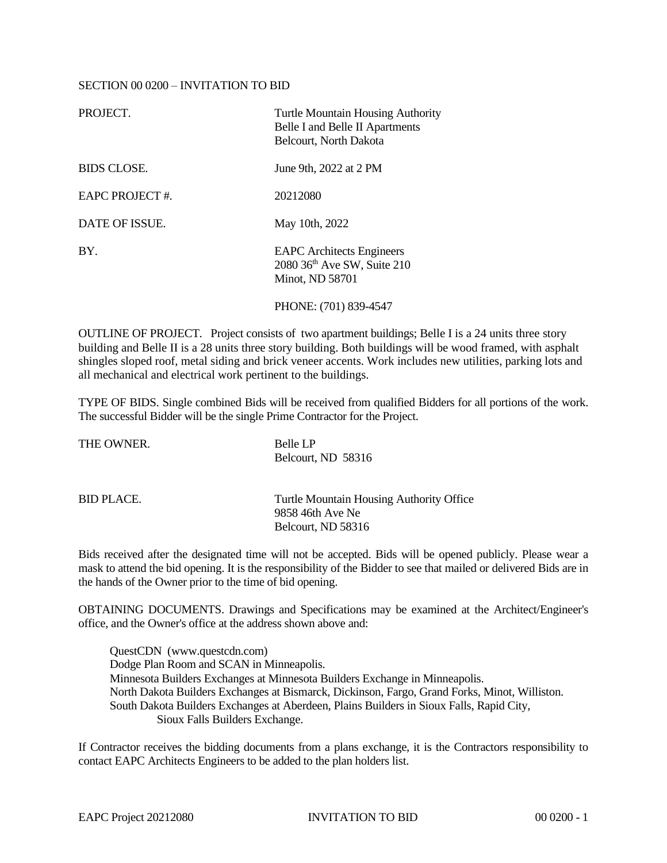## SECTION 00 0200 – INVITATION TO BID

| PROJECT.           | <b>Turtle Mountain Housing Authority</b><br>Belle I and Belle II Apartments<br>Belcourt, North Dakota |
|--------------------|-------------------------------------------------------------------------------------------------------|
| <b>BIDS CLOSE.</b> | June 9th, 2022 at 2 PM                                                                                |
| EAPC PROJECT#.     | 20212080                                                                                              |
| DATE OF ISSUE.     | May 10th, 2022                                                                                        |
| BY.                | <b>EAPC</b> Architects Engineers<br>2080 36th Ave SW, Suite 210<br>Minot, ND 58701                    |
|                    | PHONE: (701) 839-4547                                                                                 |

OUTLINE OF PROJECT. Project consists of two apartment buildings; Belle I is a 24 units three story building and Belle II is a 28 units three story building. Both buildings will be wood framed, with asphalt shingles sloped roof, metal siding and brick veneer accents. Work includes new utilities, parking lots and all mechanical and electrical work pertinent to the buildings.

TYPE OF BIDS. Single combined Bids will be received from qualified Bidders for all portions of the work. The successful Bidder will be the single Prime Contractor for the Project.

| THE OWNER. | Belle LP<br>Belcourt, ND 58316                               |
|------------|--------------------------------------------------------------|
| BID PLACE. | Turtle Mountain Housing Authority Office<br>9858 46th Ave Ne |
|            | Belcourt. ND 58316                                           |

Bids received after the designated time will not be accepted. Bids will be opened publicly. Please wear a mask to attend the bid opening. It is the responsibility of the Bidder to see that mailed or delivered Bids are in the hands of the Owner prior to the time of bid opening.

OBTAINING DOCUMENTS. Drawings and Specifications may be examined at the Architect/Engineer's office, and the Owner's office at the address shown above and:

QuestCDN (www.questcdn.com) Dodge Plan Room and SCAN in Minneapolis. Minnesota Builders Exchanges at Minnesota Builders Exchange in Minneapolis. North Dakota Builders Exchanges at Bismarck, Dickinson, Fargo, Grand Forks, Minot, Williston. South Dakota Builders Exchanges at Aberdeen, Plains Builders in Sioux Falls, Rapid City, Sioux Falls Builders Exchange.

If Contractor receives the bidding documents from a plans exchange, it is the Contractors responsibility to contact EAPC Architects Engineers to be added to the plan holders list.